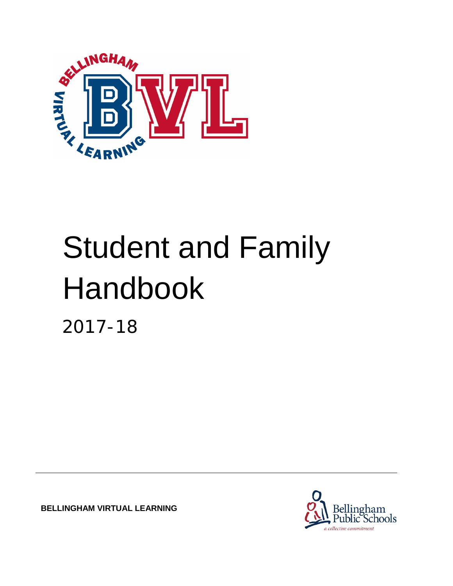

# Student and Family Handbook

2017-18

**BELLINGHAM VIRTUAL LEARNING**

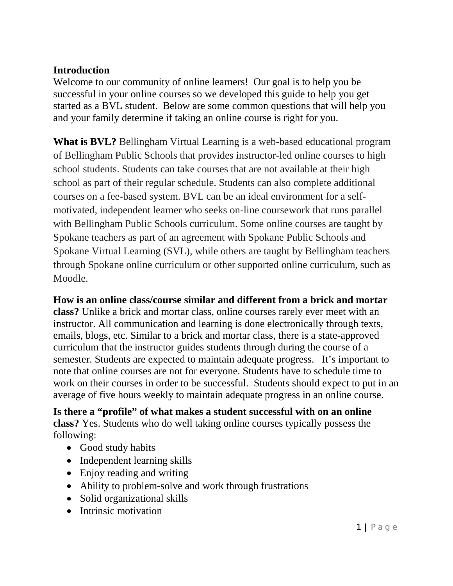# **Introduction**

Welcome to our community of online learners! Our goal is to help you be successful in your online courses so we developed this guide to help you get started as a BVL student. Below are some common questions that will help you and your family determine if taking an online course is right for you.

**What is BVL?** Bellingham Virtual Learning is a web-based educational program of Bellingham Public Schools that provides instructor-led online courses to high school students. Students can take courses that are not available at their high school as part of their regular schedule. Students can also complete additional courses on a fee-based system. BVL can be an ideal environment for a selfmotivated, independent learner who seeks on-line coursework that runs parallel with Bellingham Public Schools curriculum. Some online courses are taught by Spokane teachers as part of an agreement with Spokane Public Schools and Spokane Virtual Learning (SVL), while others are taught by Bellingham teachers through Spokane online curriculum or other supported online curriculum, such as Moodle.

**How is an online class/course similar and different from a brick and mortar class?** Unlike a brick and mortar class, online courses rarely ever meet with an instructor. All communication and learning is done electronically through texts, emails, blogs, etc. Similar to a brick and mortar class, there is a state-approved curriculum that the instructor guides students through during the course of a semester. Students are expected to maintain adequate progress. It's important to note that online courses are not for everyone. Students have to schedule time to work on their courses in order to be successful. Students should expect to put in an average of five hours weekly to maintain adequate progress in an online course.

**Is there a "profile" of what makes a student successful with on an online class?** Yes. Students who do well taking online courses typically possess the following:

- Good study habits
- Independent learning skills
- Enjoy reading and writing
- Ability to problem-solve and work through frustrations
- Solid organizational skills
- Intrinsic motivation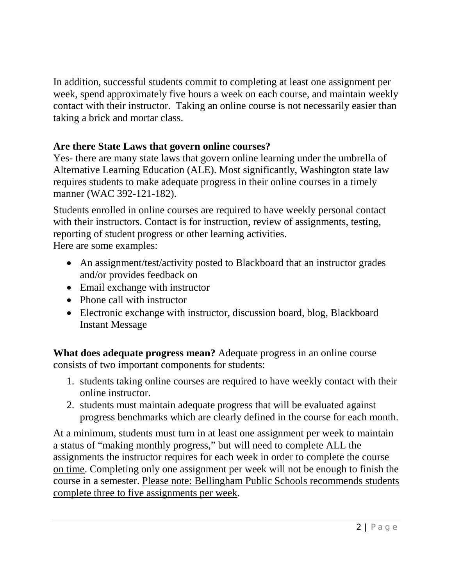In addition, successful students commit to completing at least one assignment per week, spend approximately five hours a week on each course, and maintain weekly contact with their instructor. Taking an online course is not necessarily easier than taking a brick and mortar class.

# **Are there State Laws that govern online courses?**

Yes- there are many state laws that govern online learning under the umbrella of Alternative Learning Education (ALE). Most significantly, Washington state law requires students to make adequate progress in their online courses in a timely manner (WAC 392-121-182).

Students enrolled in online courses are required to have weekly personal contact with their instructors. Contact is for instruction, review of assignments, testing, reporting of student progress or other learning activities. Here are some examples:

• An assignment/test/activity posted to Blackboard that an instructor grades and/or provides feedback on

- Email exchange with instructor
- Phone call with instructor
- Electronic exchange with instructor, discussion board, blog, Blackboard Instant Message

**What does adequate progress mean?** Adequate progress in an online course consists of two important components for students:

- 1. students taking online courses are required to have weekly contact with their online instructor.
- 2. students must maintain adequate progress that will be evaluated against progress benchmarks which are clearly defined in the course for each month.

At a minimum, students must turn in at least one assignment per week to maintain a status of "making monthly progress," but will need to complete ALL the assignments the instructor requires for each week in order to complete the course on time. Completing only one assignment per week will not be enough to finish the course in a semester. Please note: Bellingham Public Schools recommends students complete three to five assignments per week.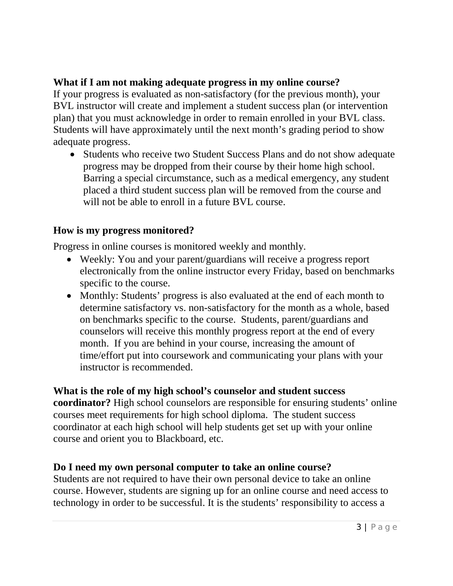# **What if I am not making adequate progress in my online course?**

If your progress is evaluated as non-satisfactory (for the previous month), your BVL instructor will create and implement a student success plan (or intervention plan) that you must acknowledge in order to remain enrolled in your BVL class. Students will have approximately until the next month's grading period to show adequate progress.

• Students who receive two Student Success Plans and do not show adequate progress may be dropped from their course by their home high school. Barring a special circumstance, such as a medical emergency, any student placed a third student success plan will be removed from the course and will not be able to enroll in a future BVL course.

#### **How is my progress monitored?**

Progress in online courses is monitored weekly and monthly.

- Weekly: You and your parent/guardians will receive a progress report electronically from the online instructor every Friday, based on benchmarks specific to the course.
- Monthly: Students' progress is also evaluated at the end of each month to determine satisfactory vs. non-satisfactory for the month as a whole, based on benchmarks specific to the course. Students, parent/guardians and counselors will receive this monthly progress report at the end of every month. If you are behind in your course, increasing the amount of time/effort put into coursework and communicating your plans with your instructor is recommended.

#### **What is the role of my high school's counselor and student success**

**coordinator?** High school counselors are responsible for ensuring students' online courses meet requirements for high school diploma. The student success coordinator at each high school will help students get set up with your online course and orient you to Blackboard, etc.

## **Do I need my own personal computer to take an online course?**

Students are not required to have their own personal device to take an online course. However, students are signing up for an online course and need access to technology in order to be successful. It is the students' responsibility to access a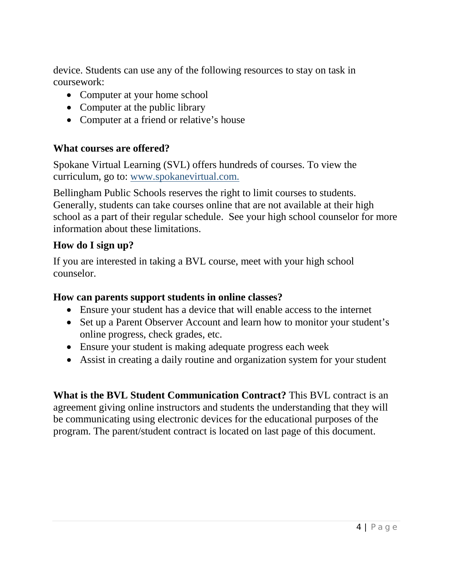device. Students can use any of the following resources to stay on task in coursework:

- Computer at your home school
- Computer at the public library
- Computer at a friend or relative's house

#### **What courses are offered?**

Spokane Virtual Learning (SVL) offers hundreds of courses. To view the curriculum, go to: [www.spokanevirtual.com.](http://www.spokanevirtual.com/)

Bellingham Public Schools reserves the right to limit courses to students. Generally, students can take courses online that are not available at their high school as a part of their regular schedule. See your high school counselor for more information about these limitations.

## **How do I sign up?**

If you are interested in taking a BVL course, meet with your high school counselor.

#### **How can parents support students in online classes?**

- Ensure your student has a device that will enable access to the internet
- Set up a Parent Observer Account and learn how to monitor your student's online progress, check grades, etc.
- Ensure your student is making adequate progress each week
- Assist in creating a daily routine and organization system for your student

**What is the BVL Student Communication Contract?** This BVL contract is an agreement giving online instructors and students the understanding that they will be communicating using electronic devices for the educational purposes of the program. The parent/student contract is located on last page of this document.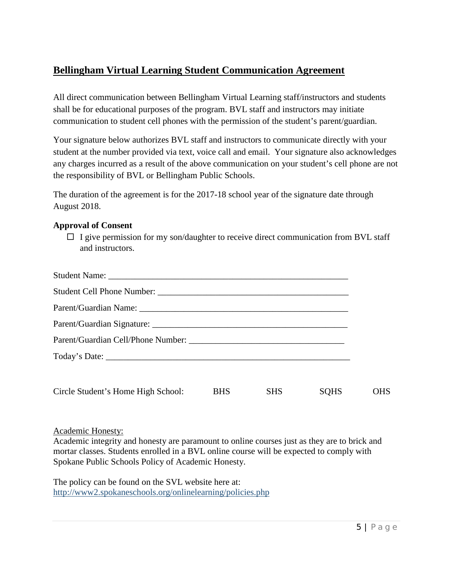# **Bellingham Virtual Learning Student Communication Agreement**

All direct communication between Bellingham Virtual Learning staff/instructors and students shall be for educational purposes of the program. BVL staff and instructors may initiate communication to student cell phones with the permission of the student's parent/guardian.

Your signature below authorizes BVL staff and instructors to communicate directly with your student at the number provided via text, voice call and email. Your signature also acknowledges any charges incurred as a result of the above communication on your student's cell phone are not the responsibility of BVL or Bellingham Public Schools.

The duration of the agreement is for the 2017-18 school year of the signature date through August 2018.

#### **Approval of Consent**

 $\Box$  I give permission for my son/daughter to receive direct communication from BVL staff and instructors.

| Circle Student's Home High School: | <b>BHS</b> | <b>SHS</b> | <b>SQHS</b> | <b>OHS</b> |
|------------------------------------|------------|------------|-------------|------------|

#### Academic Honesty:

Academic integrity and honesty are paramount to online courses just as they are to brick and mortar classes. Students enrolled in a BVL online course will be expected to comply with Spokane Public Schools Policy of Academic Honesty.

The policy can be found on the SVL website here at: <http://www2.spokaneschools.org/onlinelearning/policies.php>